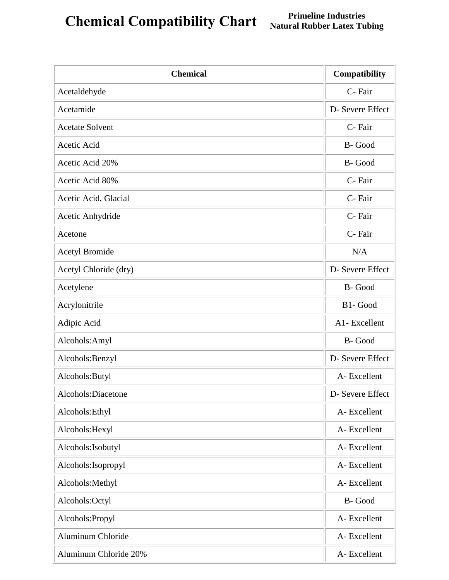## **Chemical Compatibility Chart Primeline Industries**<br> **Natural Rubber Latex Tubing**

| <b>Chemical</b>          | Compatibility    |
|--------------------------|------------------|
| Acetaldehyde             | C-Fair           |
| Acetamide                | D- Severe Effect |
| <b>Acetate Solvent</b>   | C-Fair           |
| Acetic Acid              | B-Good           |
| Acetic Acid 20%          | B-Good           |
| Acetic Acid 80%          | C-Fair           |
| Acetic Acid, Glacial     | C-Fair           |
| Acetic Anhydride         | C-Fair           |
| Acetone                  | C-Fair           |
| <b>Acetyl Bromide</b>    | N/A              |
| Acetyl Chloride (dry)    | D- Severe Effect |
| Acetylene                | B-Good           |
| Acrylonitrile            | B1-Good          |
| Adipic Acid              | A1- Excellent    |
| Alcohols: Amyl           | B-Good           |
| Alcohols: Benzyl         | D- Severe Effect |
| Alcohols: Butyl          | A-Excellent      |
| Alcohols:Diacetone       | D- Severe Effect |
| Alcohols: Ethyl          | A-Excellent      |
| Alcohols: Hexyl          | A-Excellent      |
| Alcohols: Isobutyl       | A-Excellent      |
| Alcohols: Isopropyl      | A-Excellent      |
| Alcohols: Methyl         | A-Excellent      |
| Alcohols:Octyl           | B-Good           |
| Alcohols: Propyl         | A-Excellent      |
| <b>Aluminum Chloride</b> | A-Excellent      |
| Aluminum Chloride 20%    | A-Excellent      |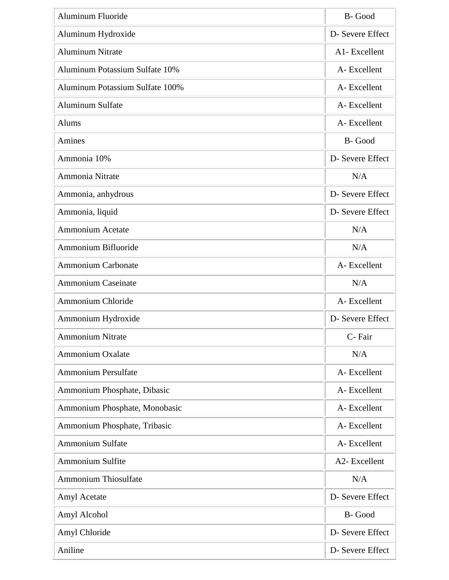| <b>Aluminum Fluoride</b>        | B-Good           |
|---------------------------------|------------------|
| Aluminum Hydroxide              | D- Severe Effect |
| <b>Aluminum Nitrate</b>         | A1-Excellent     |
| Aluminum Potassium Sulfate 10%  | A-Excellent      |
| Aluminum Potassium Sulfate 100% | A-Excellent      |
| <b>Aluminum Sulfate</b>         | A-Excellent      |
| Alums                           | A-Excellent      |
| Amines                          | B-Good           |
| Ammonia 10%                     | D- Severe Effect |
| Ammonia Nitrate                 | N/A              |
| Ammonia, anhydrous              | D- Severe Effect |
| Ammonia, liquid                 | D- Severe Effect |
| Ammonium Acetate                | N/A              |
| Ammonium Bifluoride             | N/A              |
| <b>Ammonium Carbonate</b>       | A-Excellent      |
| <b>Ammonium Caseinate</b>       | N/A              |
| <b>Ammonium Chloride</b>        | A-Excellent      |
| Ammonium Hydroxide              | D- Severe Effect |
| <b>Ammonium Nitrate</b>         | C-Fair           |
| <b>Ammonium Oxalate</b>         | N/A              |
| <b>Ammonium Persulfate</b>      | A-Excellent      |
| Ammonium Phosphate, Dibasic     | A-Excellent      |
| Ammonium Phosphate, Monobasic   | A-Excellent      |
| Ammonium Phosphate, Tribasic    | A-Excellent      |
| <b>Ammonium Sulfate</b>         | A-Excellent      |
| <b>Ammonium Sulfite</b>         | A2- Excellent    |
| <b>Ammonium Thiosulfate</b>     | N/A              |
| Amyl Acetate                    | D- Severe Effect |
| Amyl Alcohol                    | B-Good           |
| Amyl Chloride                   | D- Severe Effect |
| Aniline                         | D- Severe Effect |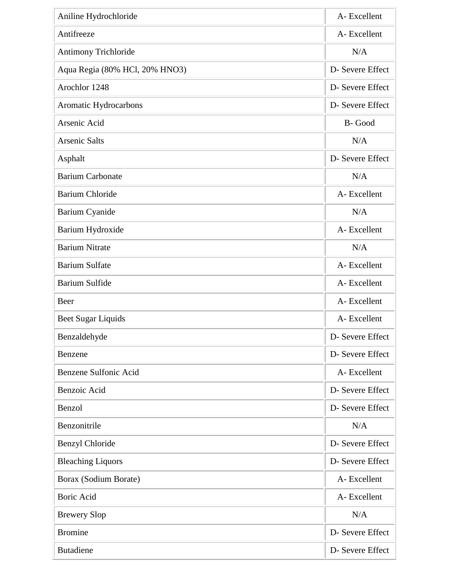| Aniline Hydrochloride          | A-Excellent      |
|--------------------------------|------------------|
| Antifreeze                     | A-Excellent      |
| Antimony Trichloride           | N/A              |
| Aqua Regia (80% HCl, 20% HNO3) | D- Severe Effect |
| Arochlor 1248                  | D- Severe Effect |
| Aromatic Hydrocarbons          | D- Severe Effect |
| Arsenic Acid                   | B-Good           |
| <b>Arsenic Salts</b>           | N/A              |
| Asphalt                        | D- Severe Effect |
| <b>Barium Carbonate</b>        | N/A              |
| <b>Barium Chloride</b>         | A-Excellent      |
| <b>Barium Cyanide</b>          | N/A              |
| Barium Hydroxide               | A-Excellent      |
| <b>Barium Nitrate</b>          | N/A              |
| <b>Barium Sulfate</b>          | A-Excellent      |
| <b>Barium Sulfide</b>          | A-Excellent      |
| Beer                           | A-Excellent      |
| Beet Sugar Liquids             | A-Excellent      |
| Benzaldehyde                   | D- Severe Effect |
| Benzene                        | D- Severe Effect |
| Benzene Sulfonic Acid          | A-Excellent      |
| Benzoic Acid                   | D- Severe Effect |
| Benzol                         | D- Severe Effect |
| Benzonitrile                   | N/A              |
| <b>Benzyl Chloride</b>         | D- Severe Effect |
| <b>Bleaching Liquors</b>       | D- Severe Effect |
| Borax (Sodium Borate)          | A-Excellent      |
| <b>Boric Acid</b>              | A-Excellent      |
| <b>Brewery Slop</b>            | N/A              |
| <b>Bromine</b>                 | D- Severe Effect |
| <b>Butadiene</b>               | D- Severe Effect |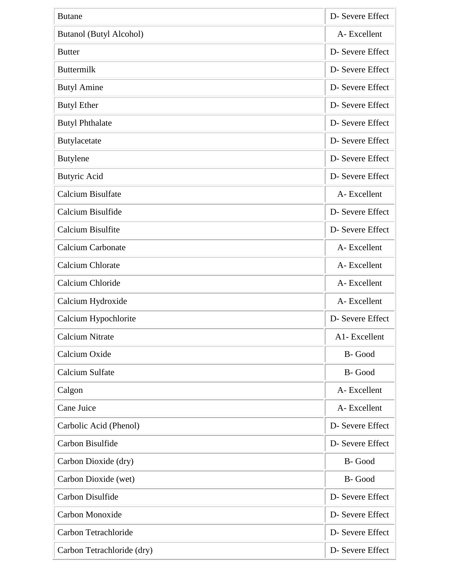| <b>Butane</b>                  | D- Severe Effect |
|--------------------------------|------------------|
| <b>Butanol (Butyl Alcohol)</b> | A-Excellent      |
| <b>Butter</b>                  | D- Severe Effect |
| <b>Buttermilk</b>              | D- Severe Effect |
| <b>Butyl Amine</b>             | D- Severe Effect |
| <b>Butyl Ether</b>             | D- Severe Effect |
| <b>Butyl Phthalate</b>         | D- Severe Effect |
| Butylacetate                   | D- Severe Effect |
| <b>Butylene</b>                | D- Severe Effect |
| <b>Butyric Acid</b>            | D- Severe Effect |
| <b>Calcium Bisulfate</b>       | A-Excellent      |
| Calcium Bisulfide              | D- Severe Effect |
| Calcium Bisulfite              | D- Severe Effect |
| <b>Calcium Carbonate</b>       | A-Excellent      |
| <b>Calcium Chlorate</b>        | A-Excellent      |
| Calcium Chloride               | A-Excellent      |
| Calcium Hydroxide              | A-Excellent      |
| Calcium Hypochlorite           | D- Severe Effect |
| <b>Calcium Nitrate</b>         | A1-Excellent     |
| Calcium Oxide                  | B-Good           |
| <b>Calcium Sulfate</b>         | B-Good           |
| Calgon                         | A-Excellent      |
| Cane Juice                     | A-Excellent      |
| Carbolic Acid (Phenol)         | D- Severe Effect |
| Carbon Bisulfide               | D- Severe Effect |
| Carbon Dioxide (dry)           | B-Good           |
| Carbon Dioxide (wet)           | B-Good           |
| Carbon Disulfide               | D- Severe Effect |
| Carbon Monoxide                | D- Severe Effect |
| Carbon Tetrachloride           | D- Severe Effect |
| Carbon Tetrachloride (dry)     | D- Severe Effect |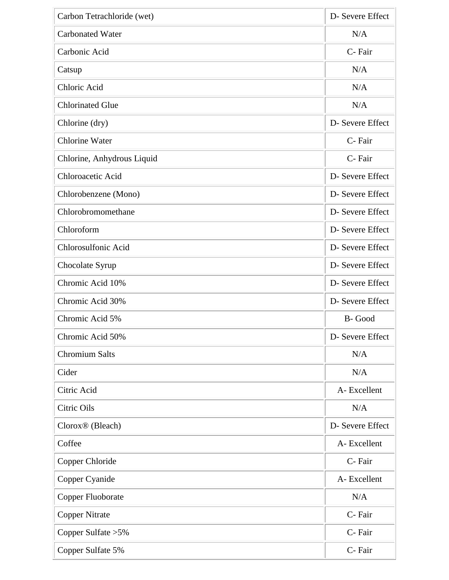| Carbon Tetrachloride (wet)   | D- Severe Effect |
|------------------------------|------------------|
| <b>Carbonated Water</b>      | N/A              |
| Carbonic Acid                | C-Fair           |
| Catsup                       | N/A              |
| Chloric Acid                 | N/A              |
| <b>Chlorinated Glue</b>      | N/A              |
| Chlorine (dry)               | D- Severe Effect |
| <b>Chlorine Water</b>        | C-Fair           |
| Chlorine, Anhydrous Liquid   | C-Fair           |
| Chloroacetic Acid            | D- Severe Effect |
| Chlorobenzene (Mono)         | D- Severe Effect |
| Chlorobromomethane           | D- Severe Effect |
| Chloroform                   | D- Severe Effect |
| Chlorosulfonic Acid          | D- Severe Effect |
| Chocolate Syrup              | D- Severe Effect |
| Chromic Acid 10%             | D- Severe Effect |
| Chromic Acid 30%             | D- Severe Effect |
| Chromic Acid 5%              | B-Good           |
| Chromic Acid 50%             | D- Severe Effect |
| <b>Chromium Salts</b>        | N/A              |
| Cider                        | N/A              |
| Citric Acid                  | A-Excellent      |
| Citric Oils                  | N/A              |
| Clorox <sup>®</sup> (Bleach) | D- Severe Effect |
| Coffee                       | A-Excellent      |
| Copper Chloride              | C-Fair           |
| Copper Cyanide               | A-Excellent      |
| Copper Fluoborate            | N/A              |
| <b>Copper Nitrate</b>        | C-Fair           |
| Copper Sulfate > 5%          | C-Fair           |
| Copper Sulfate 5%            | C-Fair           |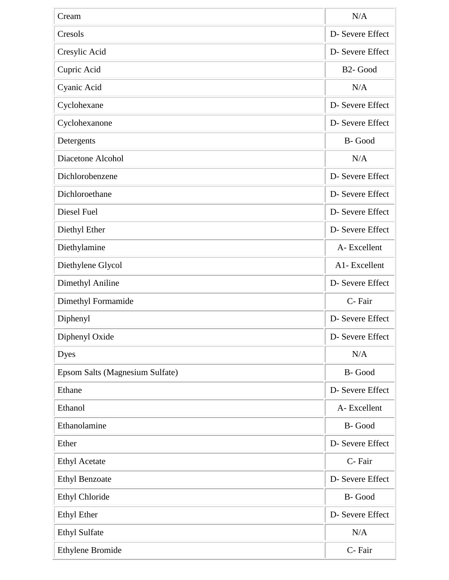| Cream                           | N/A                  |
|---------------------------------|----------------------|
| Cresols                         | D- Severe Effect     |
| Cresylic Acid                   | D- Severe Effect     |
| Cupric Acid                     | B <sub>2</sub> -Good |
| Cyanic Acid                     | N/A                  |
| Cyclohexane                     | D- Severe Effect     |
| Cyclohexanone                   | D- Severe Effect     |
| Detergents                      | B-Good               |
| Diacetone Alcohol               | N/A                  |
| Dichlorobenzene                 | D- Severe Effect     |
| Dichloroethane                  | D- Severe Effect     |
| Diesel Fuel                     | D- Severe Effect     |
| Diethyl Ether                   | D- Severe Effect     |
| Diethylamine                    | A-Excellent          |
| Diethylene Glycol               | A1-Excellent         |
| Dimethyl Aniline                | D- Severe Effect     |
| Dimethyl Formamide              | C-Fair               |
| Diphenyl                        | D- Severe Effect     |
| Diphenyl Oxide                  | D- Severe Effect     |
| <b>Dyes</b>                     | N/A                  |
| Epsom Salts (Magnesium Sulfate) | B-Good               |
| Ethane                          | D- Severe Effect     |
| Ethanol                         | A-Excellent          |
| Ethanolamine                    | B-Good               |
| Ether                           | D- Severe Effect     |
| <b>Ethyl Acetate</b>            | C-Fair               |
| <b>Ethyl Benzoate</b>           | D- Severe Effect     |
| Ethyl Chloride                  | B-Good               |
| <b>Ethyl Ether</b>              | D- Severe Effect     |
| <b>Ethyl Sulfate</b>            | N/A                  |
| Ethylene Bromide                | C-Fair               |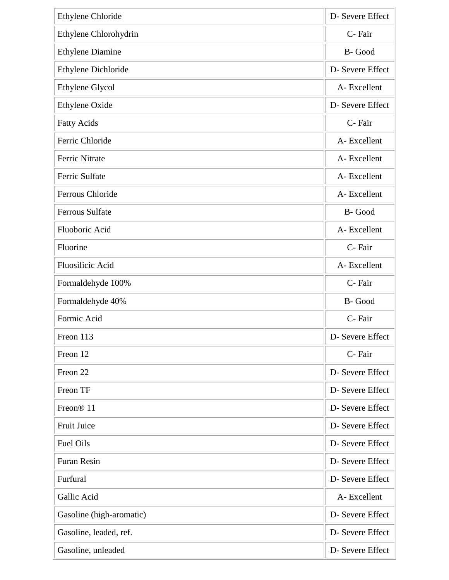| <b>Ethylene Chloride</b> | D- Severe Effect |
|--------------------------|------------------|
| Ethylene Chlorohydrin    | C-Fair           |
| <b>Ethylene Diamine</b>  | B-Good           |
| Ethylene Dichloride      | D- Severe Effect |
| Ethylene Glycol          | A-Excellent      |
| Ethylene Oxide           | D- Severe Effect |
| <b>Fatty Acids</b>       | C-Fair           |
| Ferric Chloride          | A-Excellent      |
| <b>Ferric Nitrate</b>    | A-Excellent      |
| <b>Ferric Sulfate</b>    | A-Excellent      |
| Ferrous Chloride         | A-Excellent      |
| <b>Ferrous Sulfate</b>   | B-Good           |
| Fluoboric Acid           | A-Excellent      |
| Fluorine                 | C-Fair           |
| Fluosilicic Acid         | A-Excellent      |
| Formaldehyde 100%        | C-Fair           |
| Formaldehyde 40%         | B-Good           |
| Formic Acid              | C-Fair           |
| Freon 113                | D- Severe Effect |
| Freon 12                 | C-Fair           |
| Freon 22                 | D- Severe Effect |
| Freon TF                 | D- Severe Effect |
| Freon <sup>®</sup> 11    | D- Severe Effect |
| <b>Fruit Juice</b>       | D- Severe Effect |
| <b>Fuel Oils</b>         | D- Severe Effect |
| <b>Furan Resin</b>       | D- Severe Effect |
| Furfural                 | D- Severe Effect |
| Gallic Acid              | A-Excellent      |
| Gasoline (high-aromatic) | D- Severe Effect |
| Gasoline, leaded, ref.   | D- Severe Effect |
| Gasoline, unleaded       | D- Severe Effect |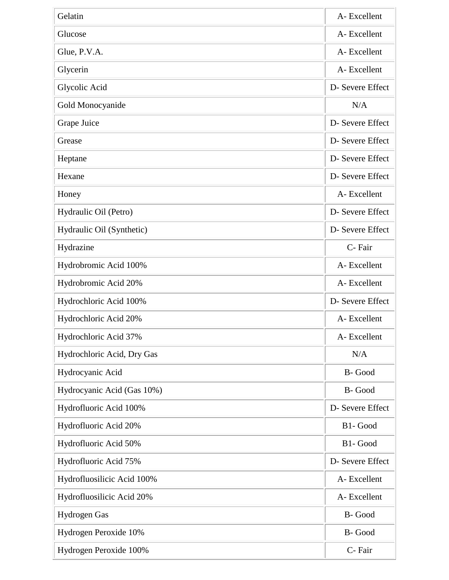| Gelatin                    | A-Excellent      |
|----------------------------|------------------|
| Glucose                    | A-Excellent      |
| Glue, P.V.A.               | A-Excellent      |
| Glycerin                   | A-Excellent      |
| Glycolic Acid              | D- Severe Effect |
| Gold Monocyanide           | N/A              |
| Grape Juice                | D- Severe Effect |
| Grease                     | D- Severe Effect |
| Heptane                    | D- Severe Effect |
| Hexane                     | D- Severe Effect |
| Honey                      | A-Excellent      |
| Hydraulic Oil (Petro)      | D- Severe Effect |
| Hydraulic Oil (Synthetic)  | D- Severe Effect |
| Hydrazine                  | C-Fair           |
| Hydrobromic Acid 100%      | A-Excellent      |
| Hydrobromic Acid 20%       | A-Excellent      |
| Hydrochloric Acid 100%     | D- Severe Effect |
| Hydrochloric Acid 20%      | A-Excellent      |
| Hydrochloric Acid 37%      | A-Excellent      |
| Hydrochloric Acid, Dry Gas | N/A              |
| Hydrocyanic Acid           | B-Good           |
| Hydrocyanic Acid (Gas 10%) | B-Good           |
| Hydrofluoric Acid 100%     | D- Severe Effect |
| Hydrofluoric Acid 20%      | B1- Good         |
| Hydrofluoric Acid 50%      | B1-Good          |
| Hydrofluoric Acid 75%      | D- Severe Effect |
| Hydrofluosilicic Acid 100% | A-Excellent      |
| Hydrofluosilicic Acid 20%  | A-Excellent      |
| Hydrogen Gas               | B-Good           |
| Hydrogen Peroxide 10%      | B-Good           |
| Hydrogen Peroxide 100%     | C-Fair           |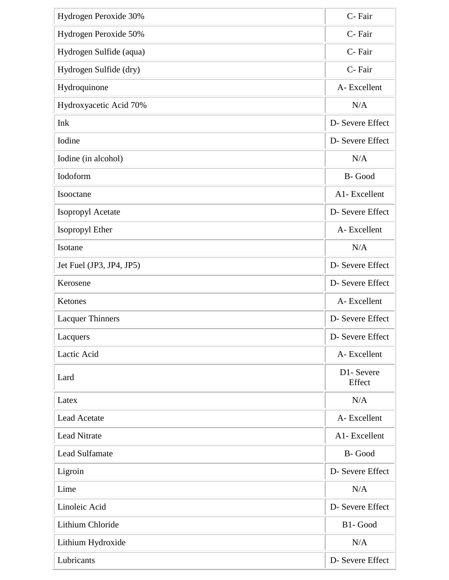| Hydrogen Peroxide 30%    | C-Fair               |
|--------------------------|----------------------|
| Hydrogen Peroxide 50%    | C-Fair               |
| Hydrogen Sulfide (aqua)  | C-Fair               |
| Hydrogen Sulfide (dry)   | C-Fair               |
| Hydroquinone             | A-Excellent          |
| Hydroxyacetic Acid 70%   | N/A                  |
| Ink                      | D- Severe Effect     |
| Iodine                   | D- Severe Effect     |
| Iodine (in alcohol)      | N/A                  |
| Iodoform                 | B-Good               |
| Isooctane                | A1-Excellent         |
| Isopropyl Acetate        | D- Severe Effect     |
| Isopropyl Ether          | A-Excellent          |
| Isotane                  | N/A                  |
| Jet Fuel (JP3, JP4, JP5) | D- Severe Effect     |
| Kerosene                 | D- Severe Effect     |
| Ketones                  | A-Excellent          |
| <b>Lacquer Thinners</b>  | D- Severe Effect     |
| Lacquers                 | D- Severe Effect     |
| Lactic Acid              | A-Excellent          |
| Lard                     | D1- Severe<br>Effect |
| Latex                    | N/A                  |
| <b>Lead Acetate</b>      | A-Excellent          |
| <b>Lead Nitrate</b>      | A1- Excellent        |
| <b>Lead Sulfamate</b>    | B-Good               |
| Ligroin                  | D- Severe Effect     |
| Lime                     | N/A                  |
| Linoleic Acid            | D- Severe Effect     |
| Lithium Chloride         | B1-Good              |
| Lithium Hydroxide        | N/A                  |
| Lubricants               | D- Severe Effect     |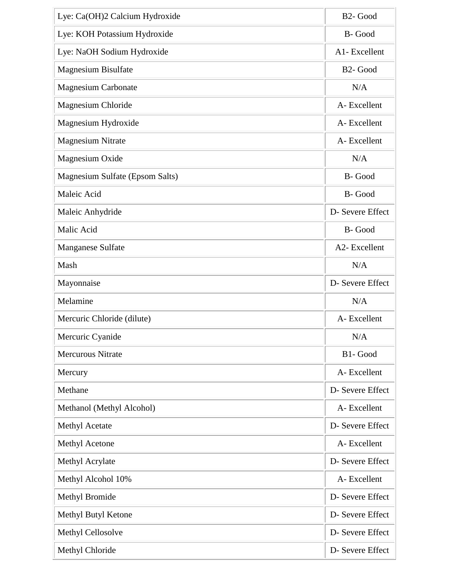| Lye: Ca(OH)2 Calcium Hydroxide  | B <sub>2</sub> - Good |
|---------------------------------|-----------------------|
| Lye: KOH Potassium Hydroxide    | B-Good                |
| Lye: NaOH Sodium Hydroxide      | A1-Excellent          |
| <b>Magnesium Bisulfate</b>      | B <sub>2</sub> - Good |
| <b>Magnesium Carbonate</b>      | N/A                   |
| Magnesium Chloride              | A-Excellent           |
| Magnesium Hydroxide             | A-Excellent           |
| <b>Magnesium Nitrate</b>        | A-Excellent           |
| Magnesium Oxide                 | N/A                   |
| Magnesium Sulfate (Epsom Salts) | B-Good                |
| Maleic Acid                     | B-Good                |
| Maleic Anhydride                | D- Severe Effect      |
| Malic Acid                      | B-Good                |
| <b>Manganese Sulfate</b>        | A2- Excellent         |
| Mash                            | N/A                   |
| Mayonnaise                      | D- Severe Effect      |
| Melamine                        | N/A                   |
| Mercuric Chloride (dilute)      | A-Excellent           |
| Mercuric Cyanide                | N/A                   |
| <b>Mercurous Nitrate</b>        | B1-Good               |
| Mercury                         | A-Excellent           |
| Methane                         | D- Severe Effect      |
| Methanol (Methyl Alcohol)       | A-Excellent           |
| <b>Methyl Acetate</b>           | D- Severe Effect      |
| <b>Methyl Acetone</b>           | A-Excellent           |
| Methyl Acrylate                 | D- Severe Effect      |
| Methyl Alcohol 10%              | A-Excellent           |
| <b>Methyl Bromide</b>           | D- Severe Effect      |
| Methyl Butyl Ketone             | D- Severe Effect      |
| Methyl Cellosolve               | D- Severe Effect      |
| Methyl Chloride                 | D- Severe Effect      |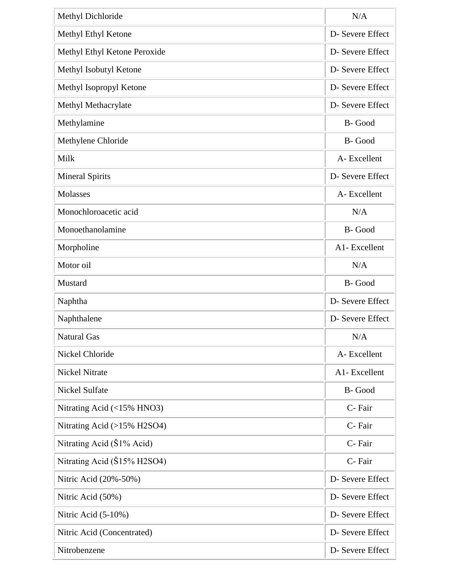| Methyl Dichloride            | N/A              |
|------------------------------|------------------|
| Methyl Ethyl Ketone          | D- Severe Effect |
| Methyl Ethyl Ketone Peroxide | D- Severe Effect |
| Methyl Isobutyl Ketone       | D- Severe Effect |
| Methyl Isopropyl Ketone      | D- Severe Effect |
| Methyl Methacrylate          | D- Severe Effect |
| Methylamine                  | B-Good           |
| Methylene Chloride           | B-Good           |
| Milk                         | A-Excellent      |
| <b>Mineral Spirits</b>       | D- Severe Effect |
| Molasses                     | A-Excellent      |
| Monochloroacetic acid        | N/A              |
| Monoethanolamine             | B-Good           |
| Morpholine                   | A1-Excellent     |
| Motor oil                    | N/A              |
| Mustard                      | B-Good           |
| Naphtha                      | D- Severe Effect |
| Naphthalene                  | D- Severe Effect |
| <b>Natural Gas</b>           | N/A              |
| Nickel Chloride              | A-Excellent      |
| <b>Nickel Nitrate</b>        | A1- Excellent    |
| <b>Nickel Sulfate</b>        | B-Good           |
| Nitrating Acid (<15% HNO3)   | C-Fair           |
| Nitrating Acid (>15% H2SO4)  | C-Fair           |
| Nitrating Acid (\$1% Acid)   | C-Fair           |
| Nitrating Acid (Š15% H2SO4)  | C-Fair           |
| Nitric Acid (20%-50%)        | D- Severe Effect |
| Nitric Acid (50%)            | D- Severe Effect |
| Nitric Acid $(5-10\%)$       | D- Severe Effect |
| Nitric Acid (Concentrated)   | D- Severe Effect |
| Nitrobenzene                 | D- Severe Effect |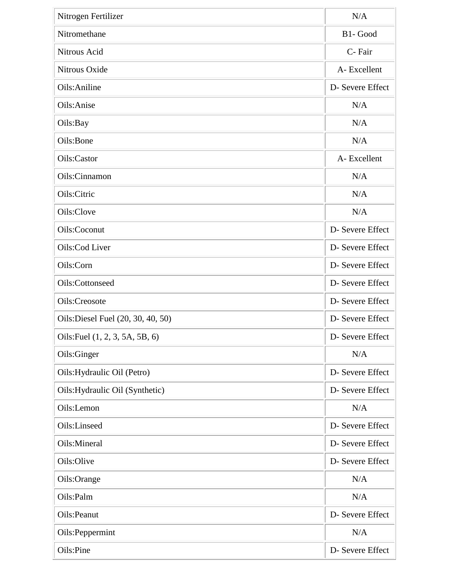| Nitrogen Fertilizer                | N/A              |
|------------------------------------|------------------|
| Nitromethane                       | B1-Good          |
| Nitrous Acid                       | C-Fair           |
| Nitrous Oxide                      | A-Excellent      |
| Oils: Aniline                      | D- Severe Effect |
| Oils:Anise                         | N/A              |
| Oils:Bay                           | N/A              |
| Oils:Bone                          | N/A              |
| Oils:Castor                        | A-Excellent      |
| Oils:Cinnamon                      | N/A              |
| Oils:Citric                        | N/A              |
| Oils:Clove                         | N/A              |
| Oils:Coconut                       | D- Severe Effect |
| Oils:Cod Liver                     | D- Severe Effect |
| Oils:Corn                          | D- Severe Effect |
| Oils:Cottonseed                    | D- Severe Effect |
| Oils:Creosote                      | D- Severe Effect |
| Oils: Diesel Fuel (20, 30, 40, 50) | D- Severe Effect |
| Oils: Fuel (1, 2, 3, 5A, 5B, 6)    | D- Severe Effect |
| Oils:Ginger                        | N/A              |
| Oils: Hydraulic Oil (Petro)        | D- Severe Effect |
| Oils: Hydraulic Oil (Synthetic)    | D- Severe Effect |
| Oils:Lemon                         | N/A              |
| Oils:Linseed                       | D- Severe Effect |
| Oils:Mineral                       | D- Severe Effect |
| Oils:Olive                         | D- Severe Effect |
| Oils:Orange                        | N/A              |
| Oils:Palm                          | N/A              |
| Oils:Peanut                        | D- Severe Effect |
| Oils: Peppermint                   | N/A              |
| Oils:Pine                          | D- Severe Effect |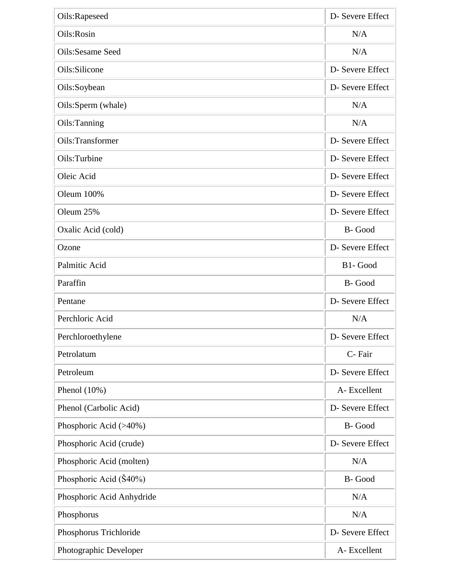| Oils:Rapeseed             | D- Severe Effect |
|---------------------------|------------------|
| Oils:Rosin                | N/A              |
| Oils:Sesame Seed          | N/A              |
| Oils:Silicone             | D- Severe Effect |
| Oils:Soybean              | D- Severe Effect |
| Oils:Sperm (whale)        | N/A              |
| Oils:Tanning              | N/A              |
| Oils:Transformer          | D- Severe Effect |
| Oils:Turbine              | D- Severe Effect |
| Oleic Acid                | D- Severe Effect |
| Oleum 100%                | D- Severe Effect |
| Oleum 25%                 | D- Severe Effect |
| Oxalic Acid (cold)        | B-Good           |
| Ozone                     | D- Severe Effect |
| Palmitic Acid             | B1-Good          |
| Paraffin                  | B-Good           |
| Pentane                   | D- Severe Effect |
| Perchloric Acid           | N/A              |
| Perchloroethylene         | D- Severe Effect |
| Petrolatum                | C-Fair           |
| Petroleum                 | D- Severe Effect |
| Phenol $(10\%)$           | A-Excellent      |
| Phenol (Carbolic Acid)    | D- Severe Effect |
| Phosphoric Acid (>40%)    | B-Good           |
| Phosphoric Acid (crude)   | D- Severe Effect |
| Phosphoric Acid (molten)  | N/A              |
| Phosphoric Acid (Š40%)    | B-Good           |
| Phosphoric Acid Anhydride | N/A              |
| Phosphorus                | N/A              |
| Phosphorus Trichloride    | D- Severe Effect |
| Photographic Developer    | A-Excellent      |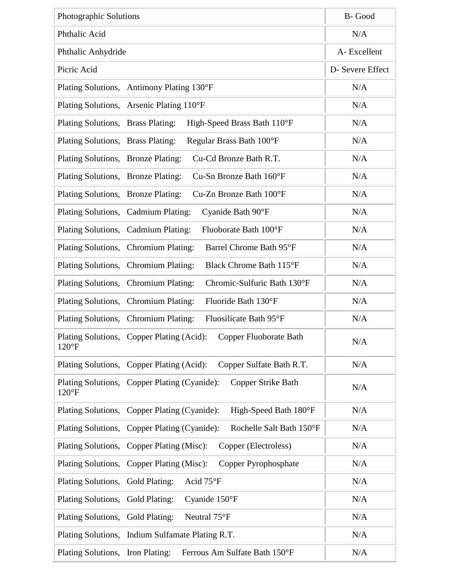| Photographic Solutions                                                               | B-Good           |
|--------------------------------------------------------------------------------------|------------------|
| Phthalic Acid                                                                        | N/A              |
| Phthalic Anhydride                                                                   | A-Excellent      |
| Picric Acid                                                                          | D- Severe Effect |
| Plating Solutions, Antimony Plating 130°F                                            | N/A              |
| Plating Solutions, Arsenic Plating 110°F                                             | N/A              |
| Plating Solutions, Brass Plating:<br>High-Speed Brass Bath 110°F                     | N/A              |
| Plating Solutions, Brass Plating:<br>Regular Brass Bath 100°F                        | N/A              |
| Cu-Cd Bronze Bath R.T.<br>Plating Solutions, Bronze Plating:                         | N/A              |
| Cu-Sn Bronze Bath 160°F<br>Plating Solutions, Bronze Plating:                        | N/A              |
| Plating Solutions, Bronze Plating:<br>Cu-Zn Bronze Bath 100°F                        | N/A              |
| Plating Solutions, Cadmium Plating:<br>Cyanide Bath 90°F                             | N/A              |
| Fluoborate Bath 100°F<br>Plating Solutions, Cadmium Plating:                         | N/A              |
| Plating Solutions, Chromium Plating:<br>Barrel Chrome Bath 95°F                      | N/A              |
| Plating Solutions, Chromium Plating:<br>Black Chrome Bath 115°F                      | N/A              |
| Plating Solutions, Chromium Plating:<br>Chromic-Sulfuric Bath 130°F                  | N/A              |
| Plating Solutions, Chromium Plating:<br>Fluoride Bath 130°F                          | N/A              |
| Plating Solutions, Chromium Plating:<br>Fluosilicate Bath 95°F                       | N/A              |
| Plating Solutions, Copper Plating (Acid): Copper Fluoborate Bath<br>$120^{\circ}F$   | N/A              |
| Plating Solutions, Copper Plating (Acid):<br>Copper Sulfate Bath R.T.                | N/A              |
| Plating Solutions, Copper Plating (Cyanide):<br>Copper Strike Bath<br>$120^{\circ}F$ | N/A              |
| Plating Solutions, Copper Plating (Cyanide):<br>High-Speed Bath 180°F                | N/A              |
| Rochelle Salt Bath 150°F<br>Plating Solutions, Copper Plating (Cyanide):             | N/A              |
| Copper (Electroless)<br>Plating Solutions, Copper Plating (Misc):                    | N/A              |
| Plating Solutions, Copper Plating (Misc):<br>Copper Pyrophosphate                    | N/A              |
| Acid 75°F<br>Plating Solutions, Gold Plating:                                        | N/A              |
| Plating Solutions, Gold Plating:<br>Cyanide $150^{\circ}F$                           | N/A              |
| Neutral 75°F<br>Plating Solutions, Gold Plating:                                     | N/A              |
| Plating Solutions, Indium Sulfamate Plating R.T.                                     | N/A              |
| Plating Solutions, Iron Plating:<br>Ferrous Am Sulfate Bath 150°F                    | N/A              |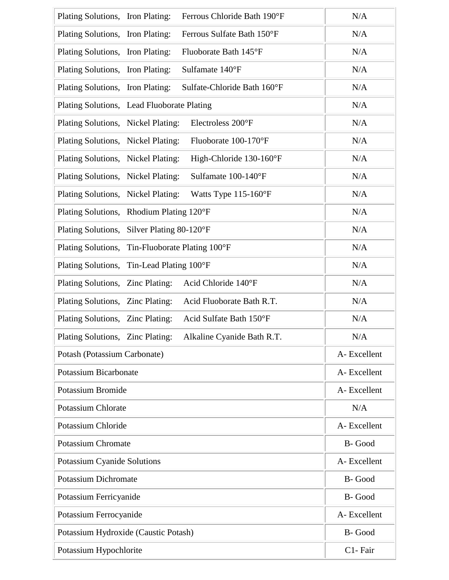| Plating Solutions, Iron Plating:<br>Ferrous Chloride Bath 190°F | N/A         |
|-----------------------------------------------------------------|-------------|
| Plating Solutions, Iron Plating:<br>Ferrous Sulfate Bath 150°F  | N/A         |
| Plating Solutions, Iron Plating:<br>Fluoborate Bath 145°F       | N/A         |
| Sulfamate 140°F<br>Plating Solutions, Iron Plating:             | N/A         |
| Sulfate-Chloride Bath 160°F<br>Plating Solutions, Iron Plating: | N/A         |
| Plating Solutions, Lead Fluoborate Plating                      | N/A         |
| Plating Solutions, Nickel Plating:<br>Electroless 200°F         | N/A         |
| Plating Solutions, Nickel Plating:<br>Fluoborate 100-170°F      | N/A         |
| Plating Solutions, Nickel Plating:<br>High-Chloride 130-160°F   | N/A         |
| Plating Solutions, Nickel Plating:<br>Sulfamate 100-140°F       | N/A         |
| Plating Solutions, Nickel Plating:<br>Watts Type 115-160°F      | N/A         |
| Plating Solutions, Rhodium Plating 120°F                        | N/A         |
| Plating Solutions, Silver Plating 80-120°F                      | N/A         |
| Plating Solutions, Tin-Fluoborate Plating 100°F                 | N/A         |
| Plating Solutions, Tin-Lead Plating 100°F                       | N/A         |
| Acid Chloride 140°F<br>Plating Solutions, Zinc Plating:         | N/A         |
| Acid Fluoborate Bath R.T.<br>Plating Solutions, Zinc Plating:   | N/A         |
| Plating Solutions, Zinc Plating:<br>Acid Sulfate Bath 150°F     | N/A         |
| Plating Solutions, Zinc Plating:<br>Alkaline Cyanide Bath R.T.  | N/A         |
| Potash (Potassium Carbonate)                                    | A-Excellent |
| <b>Potassium Bicarbonate</b>                                    | A-Excellent |
| <b>Potassium Bromide</b>                                        | A-Excellent |
| <b>Potassium Chlorate</b>                                       | N/A         |
| Potassium Chloride                                              | A-Excellent |
| <b>Potassium Chromate</b>                                       | B-Good      |
| Potassium Cyanide Solutions                                     | A-Excellent |
| <b>Potassium Dichromate</b>                                     | B-Good      |
| Potassium Ferricyanide                                          | B-Good      |
| Potassium Ferrocyanide                                          | A-Excellent |
| Potassium Hydroxide (Caustic Potash)                            | B-Good      |
| Potassium Hypochlorite                                          | C1-Fair     |
|                                                                 |             |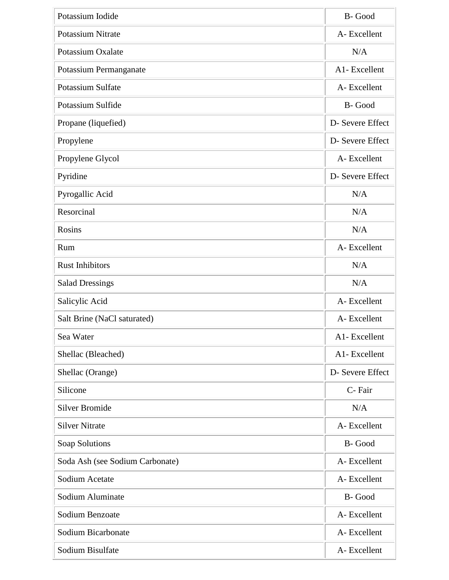| Potassium Iodide                | B-Good           |
|---------------------------------|------------------|
| <b>Potassium Nitrate</b>        | A-Excellent      |
| Potassium Oxalate               | N/A              |
| Potassium Permanganate          | A1-Excellent     |
| Potassium Sulfate               | A-Excellent      |
| Potassium Sulfide               | B-Good           |
| Propane (liquefied)             | D- Severe Effect |
| Propylene                       | D- Severe Effect |
| Propylene Glycol                | A-Excellent      |
| Pyridine                        | D- Severe Effect |
| Pyrogallic Acid                 | N/A              |
| Resorcinal                      | N/A              |
| Rosins                          | N/A              |
| Rum                             | A-Excellent      |
| <b>Rust Inhibitors</b>          | N/A              |
| <b>Salad Dressings</b>          | N/A              |
| Salicylic Acid                  | A-Excellent      |
| Salt Brine (NaCl saturated)     | A-Excellent      |
| Sea Water                       | A1-Excellent     |
| Shellac (Bleached)              | A1-Excellent     |
| Shellac (Orange)                | D- Severe Effect |
| Silicone                        | C-Fair           |
| <b>Silver Bromide</b>           | N/A              |
| <b>Silver Nitrate</b>           | A-Excellent      |
| Soap Solutions                  | B-Good           |
| Soda Ash (see Sodium Carbonate) | A-Excellent      |
| Sodium Acetate                  | A-Excellent      |
| Sodium Aluminate                | B-Good           |
| Sodium Benzoate                 | A-Excellent      |
| Sodium Bicarbonate              | A-Excellent      |
| Sodium Bisulfate                | A-Excellent      |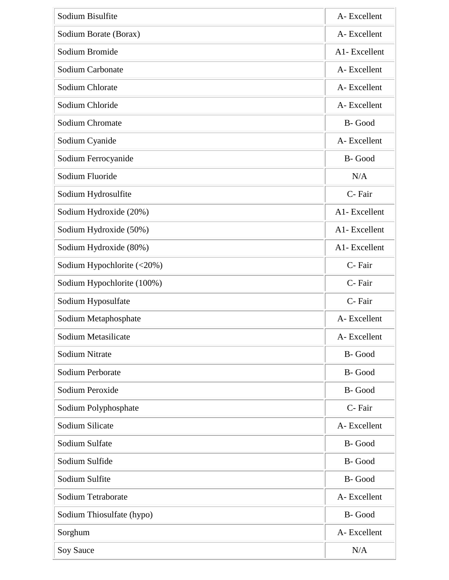| Sodium Bisulfite           | A-Excellent  |
|----------------------------|--------------|
| Sodium Borate (Borax)      | A-Excellent  |
| Sodium Bromide             | A1-Excellent |
| Sodium Carbonate           | A-Excellent  |
| Sodium Chlorate            | A-Excellent  |
| Sodium Chloride            | A-Excellent  |
| Sodium Chromate            | B-Good       |
| Sodium Cyanide             | A-Excellent  |
| Sodium Ferrocyanide        | B-Good       |
| Sodium Fluoride            | N/A          |
| Sodium Hydrosulfite        | C-Fair       |
| Sodium Hydroxide (20%)     | A1-Excellent |
| Sodium Hydroxide (50%)     | A1-Excellent |
| Sodium Hydroxide (80%)     | A1-Excellent |
| Sodium Hypochlorite (<20%) | C-Fair       |
| Sodium Hypochlorite (100%) | C-Fair       |
| Sodium Hyposulfate         | C-Fair       |
| Sodium Metaphosphate       | A-Excellent  |
| Sodium Metasilicate        | A-Excellent  |
| <b>Sodium Nitrate</b>      | B-Good       |
| Sodium Perborate           | B-Good       |
| Sodium Peroxide            | B-Good       |
| Sodium Polyphosphate       | C-Fair       |
| Sodium Silicate            | A-Excellent  |
| Sodium Sulfate             | B-Good       |
| Sodium Sulfide             | B-Good       |
| Sodium Sulfite             | B-Good       |
| Sodium Tetraborate         | A-Excellent  |
| Sodium Thiosulfate (hypo)  | B-Good       |
| Sorghum                    | A-Excellent  |
| <b>Soy Sauce</b>           | N/A          |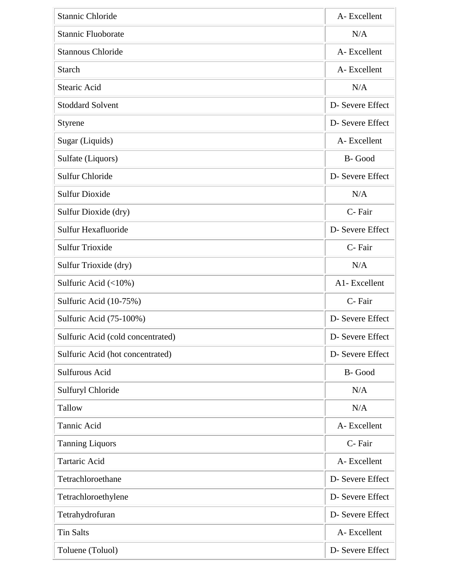| <b>Stannic Chloride</b>           | A-Excellent      |
|-----------------------------------|------------------|
| <b>Stannic Fluoborate</b>         | N/A              |
| <b>Stannous Chloride</b>          | A-Excellent      |
| <b>Starch</b>                     | A-Excellent      |
| Stearic Acid                      | N/A              |
| <b>Stoddard Solvent</b>           | D- Severe Effect |
| <b>Styrene</b>                    | D- Severe Effect |
| Sugar (Liquids)                   | A-Excellent      |
| Sulfate (Liquors)                 | B-Good           |
| <b>Sulfur Chloride</b>            | D- Severe Effect |
| <b>Sulfur Dioxide</b>             | N/A              |
| Sulfur Dioxide (dry)              | C-Fair           |
| Sulfur Hexafluoride               | D- Severe Effect |
| <b>Sulfur Trioxide</b>            | C-Fair           |
| Sulfur Trioxide (dry)             | N/A              |
| Sulfuric Acid $(\langle 10\% )$   | A1-Excellent     |
| Sulfuric Acid (10-75%)            | C-Fair           |
| Sulfuric Acid (75-100%)           | D- Severe Effect |
| Sulfuric Acid (cold concentrated) | D- Severe Effect |
| Sulfuric Acid (hot concentrated)  | D- Severe Effect |
| Sulfurous Acid                    | B-Good           |
| Sulfuryl Chloride                 | N/A              |
| Tallow                            | N/A              |
| Tannic Acid                       | A-Excellent      |
| <b>Tanning Liquors</b>            | C-Fair           |
| <b>Tartaric Acid</b>              | A-Excellent      |
| Tetrachloroethane                 | D- Severe Effect |
| Tetrachloroethylene               | D- Severe Effect |
| Tetrahydrofuran                   | D- Severe Effect |
| <b>Tin Salts</b>                  | A-Excellent      |
| Toluene (Toluol)                  | D- Severe Effect |